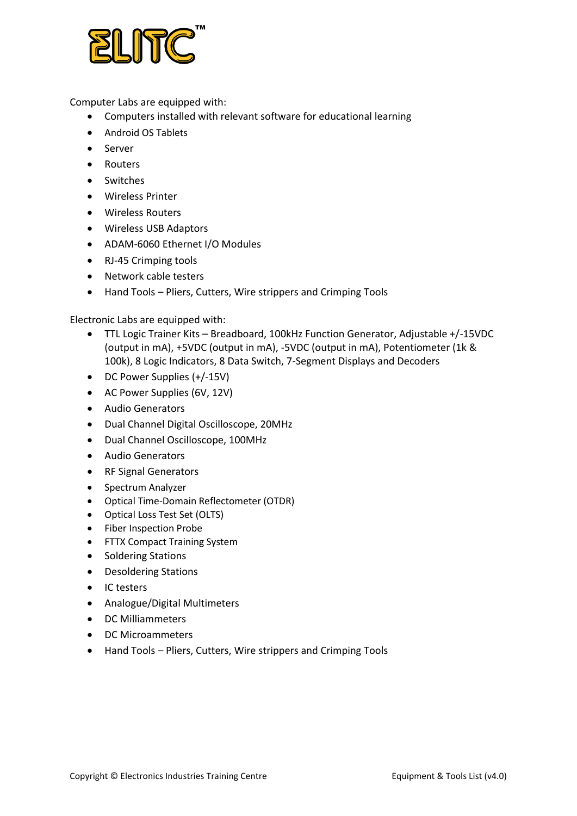

Computer Labs are equipped with:

- Computers installed with relevant software for educational learning
- Android OS Tablets
- Server
- Routers
- Switches
- Wireless Printer
- Wireless Routers
- Wireless USB Adaptors
- ADAM-6060 Ethernet I/O Modules
- RJ-45 Crimping tools
- Network cable testers
- Hand Tools Pliers, Cutters, Wire strippers and Crimping Tools

Electronic Labs are equipped with:

- TTL Logic Trainer Kits Breadboard, 100kHz Function Generator, Adjustable +/-15VDC (output in mA), +5VDC (output in mA), -5VDC (output in mA), Potentiometer (1k & 100k), 8 Logic Indicators, 8 Data Switch, 7-Segment Displays and Decoders
- DC Power Supplies (+/-15V)
- AC Power Supplies (6V, 12V)
- Audio Generators
- Dual Channel Digital Oscilloscope, 20MHz
- Dual Channel Oscilloscope, 100MHz
- Audio Generators
- RF Signal Generators
- Spectrum Analyzer
- Optical Time-Domain Reflectometer (OTDR)
- Optical Loss Test Set (OLTS)
- Fiber Inspection Probe
- FTTX Compact Training System
- Soldering Stations
- Desoldering Stations
- IC testers
- Analogue/Digital Multimeters
- DC Milliammeters
- DC Microammeters
- Hand Tools Pliers, Cutters, Wire strippers and Crimping Tools